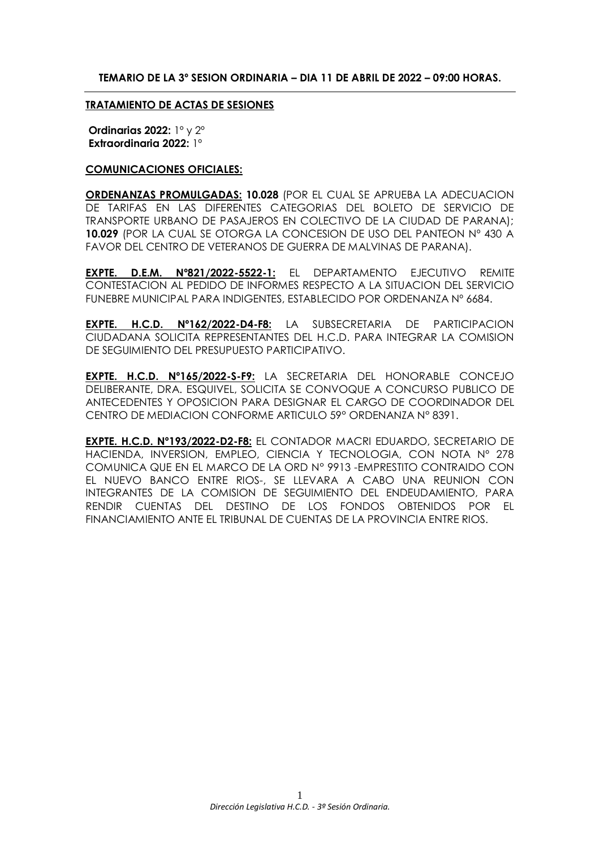## **TEMARIO DE LA 3º SESION ORDINARIA – DIA 11 DE ABRIL DE 2022 – 09:00 HORAS.**

#### **TRATAMIENTO DE ACTAS DE SESIONES**

**Ordinarias 2022:** 1º y 2º **Extraordinaria 2022:** 1º

#### **COMUNICACIONES OFICIALES:**

**ORDENANZAS PROMULGADAS: 10.028** (POR EL CUAL SE APRUEBA LA ADECUACION DE TARIFAS EN LAS DIFERENTES CATEGORIAS DEL BOLETO DE SERVICIO DE TRANSPORTE URBANO DE PASAJEROS EN COLECTIVO DE LA CIUDAD DE PARANA); **10.029** (POR LA CUAL SE OTORGA LA CONCESION DE USO DEL PANTEON Nº 430 A FAVOR DEL CENTRO DE VETERANOS DE GUERRA DE MALVINAS DE PARANA).

**EXPTE. D.E.M. Nº821/2022-5522-1:** EL DEPARTAMENTO EJECUTIVO REMITE CONTESTACION AL PEDIDO DE INFORMES RESPECTO A LA SITUACION DEL SERVICIO FUNEBRE MUNICIPAL PARA INDIGENTES, ESTABLECIDO POR ORDENANZA Nº 6684.

**EXPTE. H.C.D. Nº162/2022-D4-F8:** LA SUBSECRETARIA DE PARTICIPACION CIUDADANA SOLICITA REPRESENTANTES DEL H.C.D. PARA INTEGRAR LA COMISION DE SEGUIMIENTO DEL PRESUPUESTO PARTICIPATIVO.

**EXPTE. H.C.D. Nº165/2022-S-F9:** LA SECRETARIA DEL HONORABLE CONCEJO DELIBERANTE, DRA. ESQUIVEL, SOLICITA SE CONVOQUE A CONCURSO PUBLICO DE ANTECEDENTES Y OPOSICION PARA DESIGNAR EL CARGO DE COORDINADOR DEL CENTRO DE MEDIACION CONFORME ARTICULO 59° ORDENANZA N° 8391.

**EXPTE. H.C.D. Nº193/2022-D2-F8:** EL CONTADOR MACRI EDUARDO, SECRETARIO DE HACIENDA, INVERSION, EMPLEO, CIENCIA Y TECNOLOGIA, CON NOTA Nº 278 COMUNICA QUE EN EL MARCO DE LA ORD N° 9913 -EMPRESTITO CONTRAIDO CON EL NUEVO BANCO ENTRE RIOS-, SE LLEVARA A CABO UNA REUNION CON INTEGRANTES DE LA COMISION DE SEGUIMIENTO DEL ENDEUDAMIENTO, PARA RENDIR CUENTAS DEL DESTINO DE LOS FONDOS OBTENIDOS POR EL FINANCIAMIENTO ANTE EL TRIBUNAL DE CUENTAS DE LA PROVINCIA ENTRE RIOS.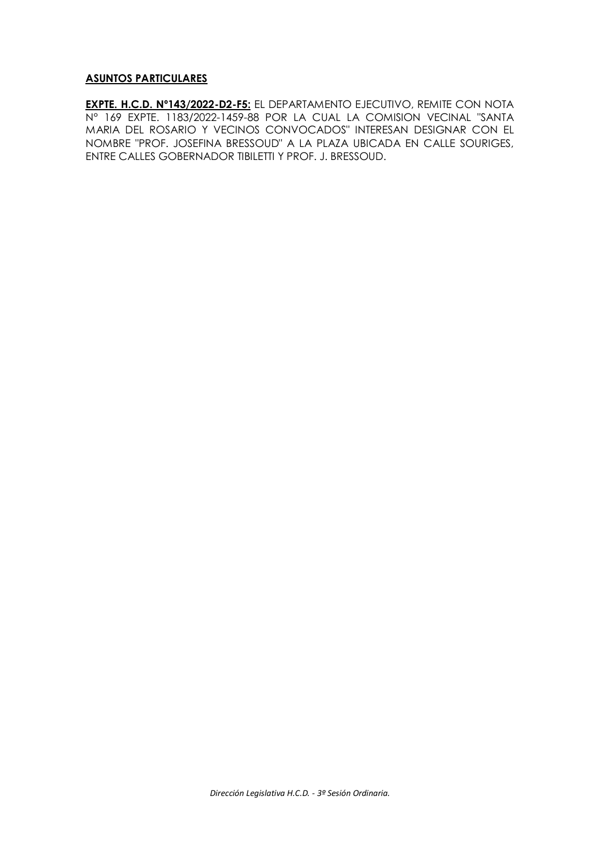## **ASUNTOS PARTICULARES**

**EXPTE. H.C.D. Nº143/2022-D2-F5:** EL DEPARTAMENTO EJECUTIVO, REMITE CON NOTA N° 169 EXPTE. 1183/2022-1459-88 POR LA CUAL LA COMISION VECINAL "SANTA MARIA DEL ROSARIO Y VECINOS CONVOCADOS" INTERESAN DESIGNAR CON EL NOMBRE "PROF. JOSEFINA BRESSOUD" A LA PLAZA UBICADA EN CALLE SOURIGES, ENTRE CALLES GOBERNADOR TIBILETTI Y PROF. J. BRESSOUD.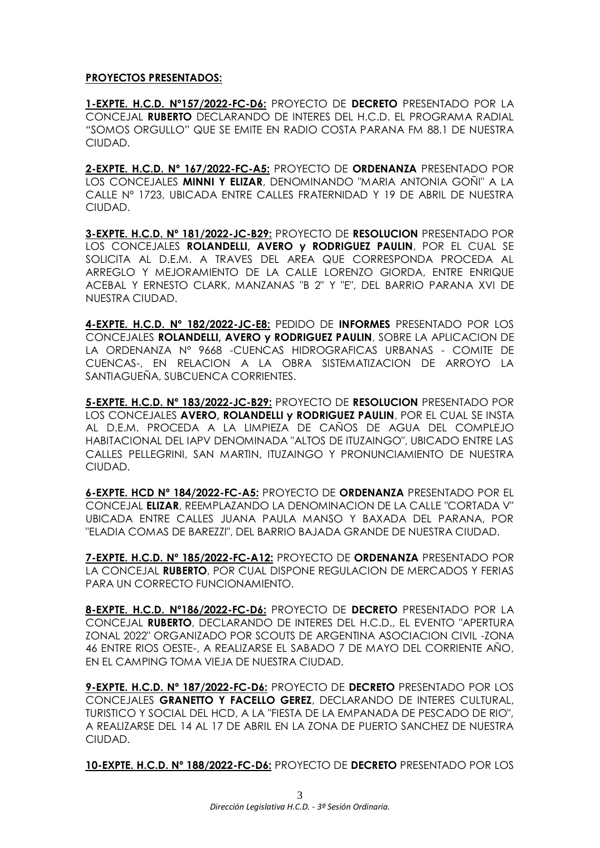## **PROYECTOS PRESENTADOS:**

**1-EXPTE. H.C.D. Nº157/2022-FC-D6:** PROYECTO DE **DECRETO** PRESENTADO POR LA CONCEJAL **RUBERTO** DECLARANDO DE INTERES DEL H.C.D. EL PROGRAMA RADIAL "SOMOS ORGULLO" QUE SE EMITE EN RADIO COSTA PARANA FM 88.1 DE NUESTRA CIUDAD.

**2-EXPTE. H.C.D. Nº 167/2022-FC-A5:** PROYECTO DE **ORDENANZA** PRESENTADO POR LOS CONCEJALES **MINNI Y ELIZAR**, DENOMINANDO "MARIA ANTONIA GOÑI" A LA CALLE Nº 1723, UBICADA ENTRE CALLES FRATERNIDAD Y 19 DE ABRIL DE NUESTRA CIUDAD.

**3-EXPTE. H.C.D. Nº 181/2022-JC-B29:** PROYECTO DE **RESOLUCION** PRESENTADO POR LOS CONCEJALES **ROLANDELLI, AVERO y RODRIGUEZ PAULIN**, POR EL CUAL SE SOLICITA AL D.E.M. A TRAVES DEL AREA QUE CORRESPONDA PROCEDA AL ARREGLO Y MEJORAMIENTO DE LA CALLE LORENZO GIORDA, ENTRE ENRIQUE ACEBAL Y ERNESTO CLARK, MANZANAS "B 2" Y "E", DEL BARRIO PARANA XVI DE NUESTRA CIUDAD.

**4-EXPTE. H.C.D. Nº 182/2022-JC-E8:** PEDIDO DE **INFORMES** PRESENTADO POR LOS CONCEJALES **ROLANDELLI, AVERO y RODRIGUEZ PAULIN**, SOBRE LA APLICACION DE LA ORDENANZA Nº 9668 -CUENCAS HIDROGRAFICAS URBANAS - COMITE DE CUENCAS-, EN RELACION A LA OBRA SISTEMATIZACION DE ARROYO LA SANTIAGUEÑA, SUBCUENCA CORRIENTES.

**5-EXPTE. H.C.D. Nº 183/2022-JC-B29:** PROYECTO DE **RESOLUCION** PRESENTADO POR LOS CONCEJALES **AVERO, ROLANDELLI y RODRIGUEZ PAULIN**, POR EL CUAL SE INSTA AL D.E.M. PROCEDA A LA LIMPIEZA DE CAÑOS DE AGUA DEL COMPLEJO HABITACIONAL DEL IAPV DENOMINADA "ALTOS DE ITUZAINGO", UBICADO ENTRE LAS CALLES PELLEGRINI, SAN MARTIN, ITUZAINGO Y PRONUNCIAMIENTO DE NUESTRA CIUDAD.

**6-EXPTE. HCD Nº 184/2022-FC-A5:** PROYECTO DE **ORDENANZA** PRESENTADO POR EL CONCEJAL **ELIZAR**, REEMPLAZANDO LA DENOMINACION DE LA CALLE "CORTADA V" UBICADA ENTRE CALLES JUANA PAULA MANSO Y BAXADA DEL PARANA, POR "ELADIA COMAS DE BAREZZI", DEL BARRIO BAJADA GRANDE DE NUESTRA CIUDAD.

**7-EXPTE. H.C.D. Nº 185/2022-FC-A12:** PROYECTO DE **ORDENANZA** PRESENTADO POR LA CONCEJAL **RUBERTO**, POR CUAL DISPONE REGULACION DE MERCADOS Y FERIAS PARA UN CORRECTO FUNCIONAMIENTO.

**8-EXPTE. H.C.D. Nº186/2022-FC-D6:** PROYECTO DE **DECRETO** PRESENTADO POR LA CONCEJAL **RUBERTO**, DECLARANDO DE INTERES DEL H.C.D., EL EVENTO "APERTURA ZONAL 2022" ORGANIZADO POR SCOUTS DE ARGENTINA ASOCIACION CIVIL -ZONA 46 ENTRE RIOS OESTE-, A REALIZARSE EL SABADO 7 DE MAYO DEL CORRIENTE AÑO, EN EL CAMPING TOMA VIEJA DE NUESTRA CIUDAD.

**9-EXPTE. H.C.D. Nº 187/2022-FC-D6:** PROYECTO DE **DECRETO** PRESENTADO POR LOS CONCEJALES **GRANETTO Y FACELLO GEREZ**, DECLARANDO DE INTERES CULTURAL, TURISTICO Y SOCIAL DEL HCD, A LA "FIESTA DE LA EMPANADA DE PESCADO DE RIO", A REALIZARSE DEL 14 AL 17 DE ABRIL EN LA ZONA DE PUERTO SANCHEZ DE NUESTRA CIUDAD.

**10-EXPTE. H.C.D. Nº 188/2022-FC-D6:** PROYECTO DE **DECRETO** PRESENTADO POR LOS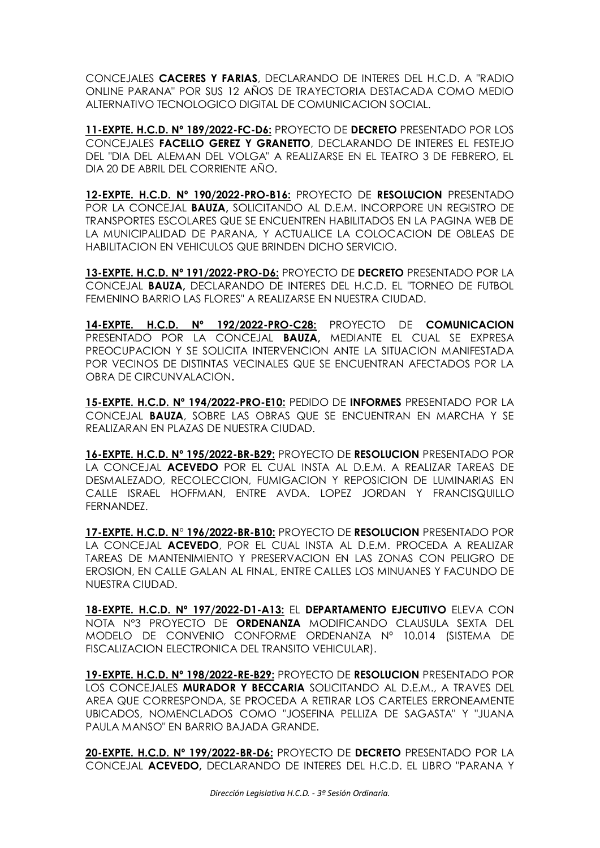CONCEJALES **CACERES Y FARIAS**, DECLARANDO DE INTERES DEL H.C.D. A "RADIO ONLINE PARANA" POR SUS 12 AÑOS DE TRAYECTORIA DESTACADA COMO MEDIO ALTERNATIVO TECNOLOGICO DIGITAL DE COMUNICACION SOCIAL.

**11-EXPTE. H.C.D. Nº 189/2022-FC-D6:** PROYECTO DE **DECRETO** PRESENTADO POR LOS CONCEJALES **FACELLO GEREZ Y GRANETTO**, DECLARANDO DE INTERES EL FESTEJO DEL "DIA DEL ALEMAN DEL VOLGA" A REALIZARSE EN EL TEATRO 3 DE FEBRERO, EL DIA 20 DE ABRIL DEL CORRIENTE AÑO.

**12-EXPTE. H.C.D. Nº 190/2022-PRO-B16:** PROYECTO DE **RESOLUCION** PRESENTADO POR LA CONCEJAL **BAUZA,** SOLICITANDO AL D.E.M. INCORPORE UN REGISTRO DE TRANSPORTES ESCOLARES QUE SE ENCUENTREN HABILITADOS EN LA PAGINA WEB DE LA MUNICIPALIDAD DE PARANA, Y ACTUALICE LA COLOCACION DE OBLEAS DE HABILITACION EN VEHICULOS QUE BRINDEN DICHO SERVICIO.

**13-EXPTE. H.C.D. Nº 191/2022-PRO-D6:** PROYECTO DE **DECRETO** PRESENTADO POR LA CONCEJAL **BAUZA,** DECLARANDO DE INTERES DEL H.C.D. EL "TORNEO DE FUTBOL FEMENINO BARRIO LAS FLORES" A REALIZARSE EN NUESTRA CIUDAD.

**14-EXPTE. H.C.D. Nº 192/2022-PRO-C28:** PROYECTO DE **COMUNICACION** PRESENTADO POR LA CONCEJAL **BAUZA,** MEDIANTE EL CUAL SE EXPRESA PREOCUPACION Y SE SOLICITA INTERVENCION ANTE LA SITUACION MANIFESTADA POR VECINOS DE DISTINTAS VECINALES QUE SE ENCUENTRAN AFECTADOS POR LA OBRA DE CIRCUNVALACION**.**

**15-EXPTE. H.C.D. Nº 194/2022-PRO-E10:** PEDIDO DE **INFORMES** PRESENTADO POR LA CONCEJAL **BAUZA**, SOBRE LAS OBRAS QUE SE ENCUENTRAN EN MARCHA Y SE REALIZARAN EN PLAZAS DE NUESTRA CIUDAD.

**16-EXPTE. H.C.D. Nº 195/2022-BR-B29:** PROYECTO DE **RESOLUCION** PRESENTADO POR LA CONCEJAL **ACEVEDO** POR EL CUAL INSTA AL D.E.M. A REALIZAR TAREAS DE DESMALEZADO, RECOLECCION, FUMIGACION Y REPOSICION DE LUMINARIAS EN CALLE ISRAEL HOFFMAN, ENTRE AVDA. LOPEZ JORDAN Y FRANCISQUILLO FERNANDEZ.

**17-EXPTE. H.C.D. N° 196/2022-BR-B10:** PROYECTO DE **RESOLUCION** PRESENTADO POR LA CONCEJAL **ACEVEDO**, POR EL CUAL INSTA AL D.E.M. PROCEDA A REALIZAR TAREAS DE MANTENIMIENTO Y PRESERVACION EN LAS ZONAS CON PELIGRO DE EROSION, EN CALLE GALAN AL FINAL, ENTRE CALLES LOS MINUANES Y FACUNDO DE NUESTRA CIUDAD.

**18-EXPTE. H.C.D. Nº 197/2022-D1-A13:** EL **DEPARTAMENTO EJECUTIVO** ELEVA CON NOTA Nº3 PROYECTO DE **ORDENANZA** MODIFICANDO CLAUSULA SEXTA DEL MODELO DE CONVENIO CONFORME ORDENANZA Nº 10.014 (SISTEMA DE FISCALIZACION ELECTRONICA DEL TRANSITO VEHICULAR).

**19-EXPTE. H.C.D. Nº 198/2022-RE-B29:** PROYECTO DE **RESOLUCION** PRESENTADO POR LOS CONCEJALES **MURADOR Y BECCARIA** SOLICITANDO AL D.E.M., A TRAVES DEL AREA QUE CORRESPONDA, SE PROCEDA A RETIRAR LOS CARTELES ERRONEAMENTE UBICADOS, NOMENCLADOS COMO "JOSEFINA PELLIZA DE SAGASTA" Y "JUANA PAULA MANSO" EN BARRIO BAJADA GRANDE.

**20-EXPTE. H.C.D. Nº 199/2022-BR-D6:** PROYECTO DE **DECRETO** PRESENTADO POR LA CONCEJAL **ACEVEDO,** DECLARANDO DE INTERES DEL H.C.D. EL LIBRO "PARANA Y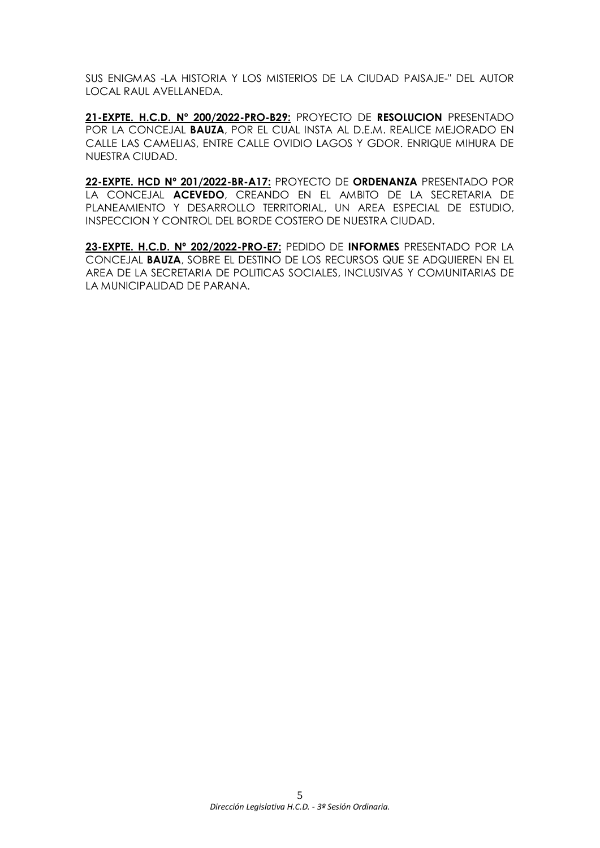SUS ENIGMAS -LA HISTORIA Y LOS MISTERIOS DE LA CIUDAD PAISAJE-" DEL AUTOR LOCAL RAUL AVELLANEDA.

**21-EXPTE. H.C.D. Nº 200/2022-PRO-B29:** PROYECTO DE **RESOLUCION** PRESENTADO POR LA CONCEJAL **BAUZA**, POR EL CUAL INSTA AL D.E.M. REALICE MEJORADO EN CALLE LAS CAMELIAS, ENTRE CALLE OVIDIO LAGOS Y GDOR. ENRIQUE MIHURA DE NUESTRA CIUDAD.

**22-EXPTE. HCD Nº 201/2022-BR-A17:** PROYECTO DE **ORDENANZA** PRESENTADO POR LA CONCEJAL **ACEVEDO**, CREANDO EN EL AMBITO DE LA SECRETARIA DE PLANEAMIENTO Y DESARROLLO TERRITORIAL, UN AREA ESPECIAL DE ESTUDIO, INSPECCION Y CONTROL DEL BORDE COSTERO DE NUESTRA CIUDAD.

**23-EXPTE. H.C.D. Nº 202/2022-PRO-E7:** PEDIDO DE **INFORMES** PRESENTADO POR LA CONCEJAL **BAUZA**, SOBRE EL DESTINO DE LOS RECURSOS QUE SE ADQUIEREN EN EL AREA DE LA SECRETARIA DE POLITICAS SOCIALES, INCLUSIVAS Y COMUNITARIAS DE LA MUNICIPALIDAD DE PARANA.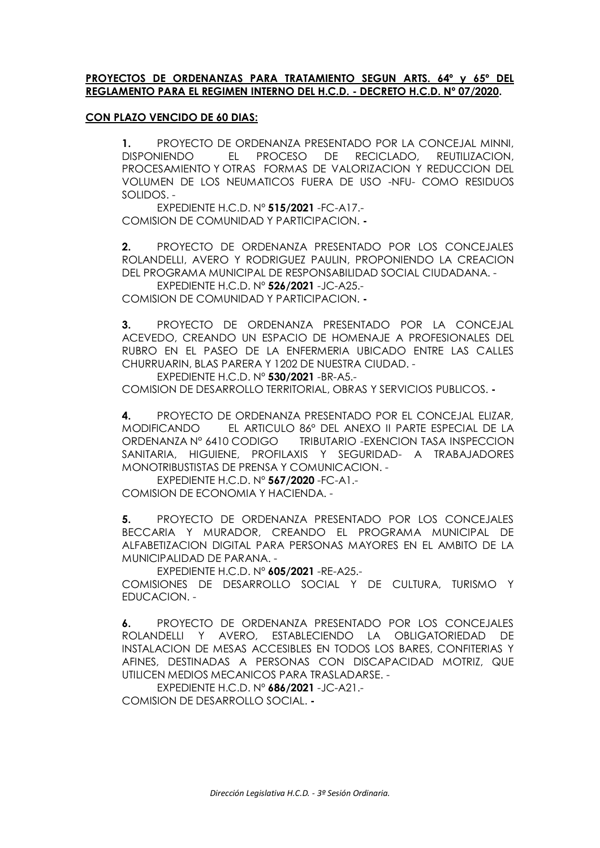### **PROYECTOS DE ORDENANZAS PARA TRATAMIENTO SEGUN ARTS. 64º y 65º DEL REGLAMENTO PARA EL REGIMEN INTERNO DEL H.C.D. - DECRETO H.C.D. Nº 07/2020.**

## **CON PLAZO VENCIDO DE 60 DIAS:**

**1.** PROYECTO DE ORDENANZA PRESENTADO POR LA CONCEJAL MINNI, DISPONIENDO EL PROCESO DE RECICLADO, REUTILIZACION, PROCESAMIENTO Y OTRAS FORMAS DE VALORIZACION Y REDUCCION DEL VOLUMEN DE LOS NEUMATICOS FUERA DE USO -NFU- COMO RESIDUOS SOLIDOS. -

EXPEDIENTE H.C.D. Nº **515/2021** -FC-A17.- COMISION DE COMUNIDAD Y PARTICIPACION. **-**

**2.** PROYECTO DE ORDENANZA PRESENTADO POR LOS CONCEJALES ROLANDELLI, AVERO Y RODRIGUEZ PAULIN, PROPONIENDO LA CREACION DEL PROGRAMA MUNICIPAL DE RESPONSABILIDAD SOCIAL CIUDADANA. -

EXPEDIENTE H.C.D. Nº **526/2021** -JC-A25.- COMISION DE COMUNIDAD Y PARTICIPACION. **-**

**3.** PROYECTO DE ORDENANZA PRESENTADO POR LA CONCEJAL ACEVEDO, CREANDO UN ESPACIO DE HOMENAJE A PROFESIONALES DEL RUBRO EN EL PASEO DE LA ENFERMERIA UBICADO ENTRE LAS CALLES CHURRUARIN, BLAS PARERA Y 1202 DE NUESTRA CIUDAD. -

EXPEDIENTE H.C.D. Nº **530/2021** -BR-A5.- COMISION DE DESARROLLO TERRITORIAL, OBRAS Y SERVICIOS PUBLICOS. **-**

**4.** PROYECTO DE ORDENANZA PRESENTADO POR EL CONCEJAL ELIZAR, MODIFICANDO EL ARTICULO 86° DEL ANEXO II PARTE ESPECIAL DE LA ORDENANZA N° 6410 CODIGO TRIBUTARIO -EXENCION TASA INSPECCION SANITARIA, HIGUIENE, PROFILAXIS Y SEGURIDAD- A TRABAJADORES MONOTRIBUSTISTAS DE PRENSA Y COMUNICACION. -

EXPEDIENTE H.C.D. Nº **567/2020** -FC-A1.- COMISION DE ECONOMIA Y HACIENDA. -

**5.** PROYECTO DE ORDENANZA PRESENTADO POR LOS CONCEJALES BECCARIA Y MURADOR, CREANDO EL PROGRAMA MUNICIPAL DE ALFABETIZACION DIGITAL PARA PERSONAS MAYORES EN EL AMBITO DE LA MUNICIPALIDAD DE PARANA. -

EXPEDIENTE H.C.D. Nº **605/2021** -RE-A25.-

COMISIONES DE DESARROLLO SOCIAL Y DE CULTURA, TURISMO Y EDUCACION. -

**6.** PROYECTO DE ORDENANZA PRESENTADO POR LOS CONCEJALES ROLANDELLI Y AVERO, ESTABLECIENDO LA OBLIGATORIEDAD DE INSTALACION DE MESAS ACCESIBLES EN TODOS LOS BARES, CONFITERIAS Y AFINES, DESTINADAS A PERSONAS CON DISCAPACIDAD MOTRIZ, QUE UTILICEN MEDIOS MECANICOS PARA TRASLADARSE. -

EXPEDIENTE H.C.D. Nº **686/2021** -JC-A21.- COMISION DE DESARROLLO SOCIAL. **-**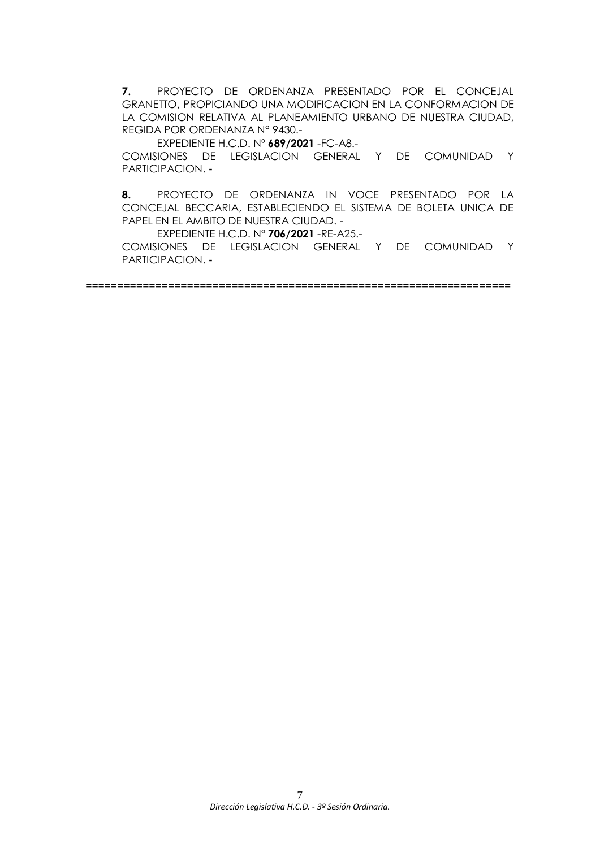**7.** PROYECTO DE ORDENANZA PRESENTADO POR EL CONCEJAL GRANETTO, PROPICIANDO UNA MODIFICACION EN LA CONFORMACION DE LA COMISION RELATIVA AL PLANEAMIENTO URBANO DE NUESTRA CIUDAD, REGIDA POR ORDENANZA N° 9430.-

EXPEDIENTE H.C.D. Nº **689/2021** -FC-A8.-

COMISIONES DE LEGISLACION GENERAL Y DE COMUNIDAD Y PARTICIPACION. **-**

**8.** PROYECTO DE ORDENANZA IN VOCE PRESENTADO POR LA CONCEJAL BECCARIA, ESTABLECIENDO EL SISTEMA DE BOLETA UNICA DE PAPEL EN EL AMBITO DE NUESTRA CIUDAD. -

EXPEDIENTE H.C.D. Nº **706/2021** -RE-A25.-

COMISIONES DE LEGISLACION GENERAL Y DE COMUNIDAD Y PARTICIPACION. **-**

**===================================================================**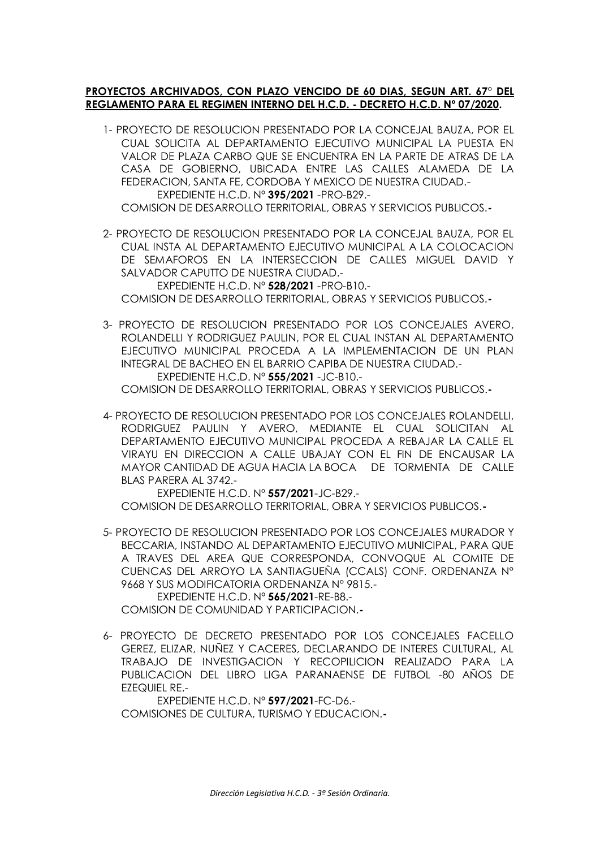# **PROYECTOS ARCHIVADOS, CON PLAZO VENCIDO DE 60 DIAS, SEGUN ART. 67° DEL REGLAMENTO PARA EL REGIMEN INTERNO DEL H.C.D. - DECRETO H.C.D. Nº 07/2020.**

1- PROYECTO DE RESOLUCION PRESENTADO POR LA CONCEJAL BAUZA, POR EL CUAL SOLICITA AL DEPARTAMENTO EJECUTIVO MUNICIPAL LA PUESTA EN VALOR DE PLAZA CARBO QUE SE ENCUENTRA EN LA PARTE DE ATRAS DE LA CASA DE GOBIERNO, UBICADA ENTRE LAS CALLES ALAMEDA DE LA FEDERACION, SANTA FE, CORDOBA Y MEXICO DE NUESTRA CIUDAD.- EXPEDIENTE H.C.D. Nº **395/2021** -PRO-B29.-

COMISION DE DESARROLLO TERRITORIAL, OBRAS Y SERVICIOS PUBLICOS.**-**

2- PROYECTO DE RESOLUCION PRESENTADO POR LA CONCEJAL BAUZA, POR EL CUAL INSTA AL DEPARTAMENTO EJECUTIVO MUNICIPAL A LA COLOCACION DE SEMAFOROS EN LA INTERSECCION DE CALLES MIGUEL DAVID Y SALVADOR CAPUTTO DE NUESTRA CIUDAD.-

EXPEDIENTE H.C.D. Nº **528/2021** -PRO-B10.- COMISION DE DESARROLLO TERRITORIAL, OBRAS Y SERVICIOS PUBLICOS.**-**

3- PROYECTO DE RESOLUCION PRESENTADO POR LOS CONCEJALES AVERO, ROLANDELLI Y RODRIGUEZ PAULIN, POR EL CUAL INSTAN AL DEPARTAMENTO EJECUTIVO MUNICIPAL PROCEDA A LA IMPLEMENTACION DE UN PLAN INTEGRAL DE BACHEO EN EL BARRIO CAPIBA DE NUESTRA CIUDAD.- EXPEDIENTE H.C.D. Nº **555/2021** -JC-B10.-

COMISION DE DESARROLLO TERRITORIAL, OBRAS Y SERVICIOS PUBLICOS.**-**

4- PROYECTO DE RESOLUCION PRESENTADO POR LOS CONCEJALES ROLANDELLI, RODRIGUEZ PAULIN Y AVERO, MEDIANTE EL CUAL SOLICITAN AL DEPARTAMENTO EJECUTIVO MUNICIPAL PROCEDA A REBAJAR LA CALLE EL VIRAYU EN DIRECCION A CALLE UBAJAY CON EL FIN DE ENCAUSAR LA MAYOR CANTIDAD DE AGUA HACIA LA BOCA DE TORMENTA DE CALLE BLAS PARERA AL 3742.-

EXPEDIENTE H.C.D. Nº **557/2021**-JC-B29.- COMISION DE DESARROLLO TERRITORIAL, OBRA Y SERVICIOS PUBLICOS.**-**

- 5- PROYECTO DE RESOLUCION PRESENTADO POR LOS CONCEJALES MURADOR Y BECCARIA, INSTANDO AL DEPARTAMENTO EJECUTIVO MUNICIPAL, PARA QUE A TRAVES DEL AREA QUE CORRESPONDA, CONVOQUE AL COMITE DE CUENCAS DEL ARROYO LA SANTIAGUEÑA (CCALS) CONF. ORDENANZA N° 9668 Y SUS MODIFICATORIA ORDENANZA N° 9815.- EXPEDIENTE H.C.D. Nº **565/2021**-RE-B8.- COMISION DE COMUNIDAD Y PARTICIPACION.**-**
- 6- PROYECTO DE DECRETO PRESENTADO POR LOS CONCEJALES FACELLO GEREZ, ELIZAR, NUÑEZ Y CACERES, DECLARANDO DE INTERES CULTURAL, AL TRABAJO DE INVESTIGACION Y RECOPILICION REALIZADO PARA LA PUBLICACION DEL LIBRO LIGA PARANAENSE DE FUTBOL -80 AÑOS DE EZEQUIEL RE.-

EXPEDIENTE H.C.D. Nº **597/2021**-FC-D6.- COMISIONES DE CULTURA, TURISMO Y EDUCACION.**-**